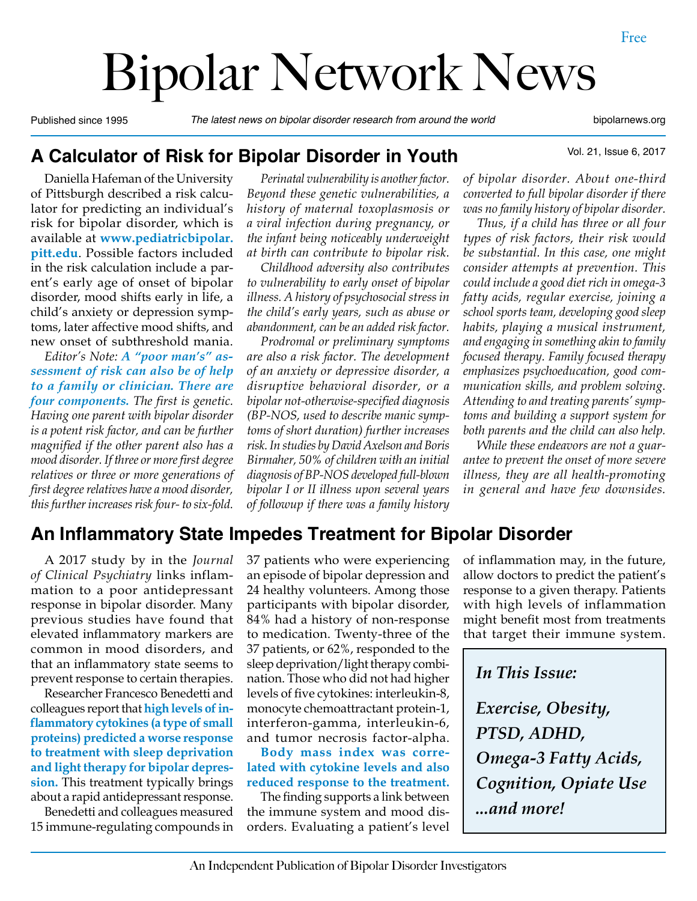# Bipolar Network News

Published since 1995 *The latest news on bipolar disorder research from around the world* bipolarnews.org

Vol. 21, Issue 6, 2017

#### **A Calculator of Risk for Bipolar Disorder in Youth**

Daniella Hafeman of the University of Pittsburgh described a risk calculator for predicting an individual's risk for bipolar disorder, which is available at **www.pediatricbipolar. pitt.edu**. Possible factors included in the risk calculation include a parent's early age of onset of bipolar disorder, mood shifts early in life, a child's anxiety or depression symptoms, later affective mood shifts, and new onset of subthreshold mania.

*Editor's Note: A "poor man's" assessment of risk can also be of help to a family or clinician. There are four components. The first is genetic. Having one parent with bipolar disorder is a potent risk factor, and can be further magnified if the other parent also has a mood disorder. If three or more first degree relatives or three or more generations of first degree relatives have a mood disorder, this further increases risk four- to six-fold.* 

*Perinatal vulnerability is another factor. Beyond these genetic vulnerabilities, a* 

*to vulnerability to early onset of bipolar illness. A history of psychosocial stress in the child's early years, such as abuse or abandonment, can be an added risk factor.* 

*Prodromal or preliminary symptoms are also a risk factor. The development of an anxiety or depressive disorder, a disruptive behavioral disorder, or a bipolar not-otherwise-specified diagnosis (BP-NOS, used to describe manic symptoms of short duration) further increases risk. In studies by David Axelson and Boris Birmaher, 50% of children with an initial diagnosis of BP-NOS developed full-blown bipolar I or II illness upon several years of followup if there was a family history* 

*of bipolar disorder. About one-third converted to full bipolar disorder if there was no family history of bipolar disorder.*

*Thus, if a child has three or all four types of risk factors, their risk would be substantial. In this case, one might consider attempts at prevention. This could include a good diet rich in omega-3 fatty acids, regular exercise, joining a school sports team, developing good sleep habits, playing a musical instrument, and engaging in something akin to family focused therapy. Family focused therapy emphasizes psychoeducation, good communication skills, and problem solving. Attending to and treating parents' symptoms and building a support system for both parents and the child can also help.*

*While these endeavors are not a guarantee to prevent the onset of more severe illness, they are all health-promoting in general and have few downsides.*

#### **An Inflammatory State Impedes Treatment for Bipolar Disorder**

A 2017 study by in the *Journal of Clinical Psychiatry* links inflammation to a poor antidepressant response in bipolar disorder. Many previous studies have found that elevated inflammatory markers are common in mood disorders, and that an inflammatory state seems to prevent response to certain therapies.

Researcher Francesco Benedetti and colleagues report that **high levels of inflammatory cytokines (a type of small proteins) predicted a worse response to treatment with sleep deprivation and light therapy for bipolar depression.** This treatment typically brings about a rapid antidepressant response.

Benedetti and colleagues measured 15 immune-regulating compounds in 37 patients who were experiencing an episode of bipolar depression and 24 healthy volunteers. Among those participants with bipolar disorder, 84% had a history of non-response to medication. Twenty-three of the 37 patients, or 62%, responded to the sleep deprivation/light therapy combination. Those who did not had higher levels of five cytokines: interleukin-8, monocyte chemoattractant protein-1, interferon-gamma, interleukin-6, and tumor necrosis factor-alpha.

**Body mass index was correlated with cytokine levels and also reduced response to the treatment.**

The finding supports a link between the immune system and mood disorders. Evaluating a patient's level of inflammation may, in the future, allow doctors to predict the patient's response to a given therapy. Patients with high levels of inflammation might benefit most from treatments that target their immune system.

*In This Issue:*

*Exercise, Obesity, PTSD, ADHD, Omega-3 Fatty Acids, Cognition, Opiate Use ...and more!*

*history of maternal toxoplasmosis or a viral infection during pregnancy, or the infant being noticeably underweight at birth can contribute to bipolar risk. Childhood adversity also contributes*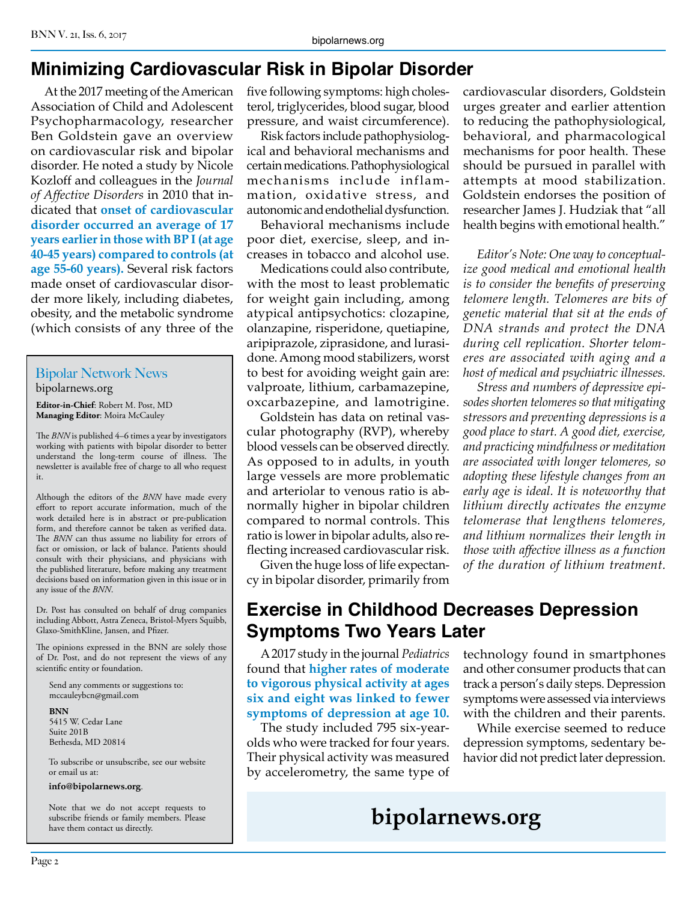# **Minimizing Cardiovascular Risk in Bipolar Disorder**

At the 2017 meeting of the American Association of Child and Adolescent Psychopharmacology, researcher Ben Goldstein gave an overview on cardiovascular risk and bipolar disorder. He noted a study by Nicole Kozloff and colleagues in the *Journal of Affective Disorders* in 2010 that indicated that **onset of cardiovascular disorder occurred an average of 17 years earlier in those with BP I (at age 40-45 years) compared to controls (at age 55-60 years).** Several risk factors made onset of cardiovascular disorder more likely, including diabetes, obesity, and the metabolic syndrome (which consists of any three of the

#### Bipolar Network News bipolarnews.org

**Editor-in-Chief**: Robert M. Post, MD **Managing Editor**: Moira McCauley

The *BNN* is published 4–6 times a year by investigators working with patients with bipolar disorder to better understand the long-term course of illness. The newsletter is available free of charge to all who request it.

Although the editors of the *BNN* have made every effort to report accurate information, much of the work detailed here is in abstract or pre-publication form, and therefore cannot be taken as verified data. The *BNN* can thus assume no liability for errors of fact or omission, or lack of balance. Patients should consult with their physicians, and physicians with the published literature, before making any treatment decisions based on information given in this issue or in any issue of the *BNN*.

Dr. Post has consulted on behalf of drug companies including Abbott, Astra Zeneca, Bristol-Myers Squibb, Glaxo-SmithKline, Jansen, and Pfizer.

The opinions expressed in the BNN are solely those of Dr. Post, and do not represent the views of any scientific entity or foundation.

Send any comments or suggestions to: mccauleybcn@gmail.com

**BNN**

5415 W. Cedar Lane Suite 201B Bethesda, MD 20814

To subscribe or unsubscribe, see our website or email us at:

#### **info@bipolarnews.org**.

Note that we do not accept requests to subscribe friends or family members. Please have them contact us directly.

five following symptoms: high cholesterol, triglycerides, blood sugar, blood pressure, and waist circumference).

Risk factors include pathophysiological and behavioral mechanisms and certain medications. Pathophysiological mechanisms include inflammation, oxidative stress, and autonomic and endothelial dysfunction.

Behavioral mechanisms include poor diet, exercise, sleep, and increases in tobacco and alcohol use.

Medications could also contribute, with the most to least problematic for weight gain including, among atypical antipsychotics: clozapine, olanzapine, risperidone, quetiapine, aripiprazole, ziprasidone, and lurasidone. Among mood stabilizers, worst to best for avoiding weight gain are: valproate, lithium, carbamazepine, oxcarbazepine, and lamotrigine.

Goldstein has data on retinal vascular photography (RVP), whereby blood vessels can be observed directly. As opposed to in adults, in youth large vessels are more problematic and arteriolar to venous ratio is abnormally higher in bipolar children compared to normal controls. This ratio is lower in bipolar adults, also reflecting increased cardiovascular risk.

Given the huge loss of life expectancy in bipolar disorder, primarily from

cardiovascular disorders, Goldstein urges greater and earlier attention to reducing the pathophysiological, behavioral, and pharmacological mechanisms for poor health. These should be pursued in parallel with attempts at mood stabilization. Goldstein endorses the position of researcher James J. Hudziak that "all health begins with emotional health."

*Editor's Note: One way to conceptualize good medical and emotional health is to consider the benefits of preserving telomere length. Telomeres are bits of genetic material that sit at the ends of DNA strands and protect the DNA during cell replication. Shorter telomeres are associated with aging and a host of medical and psychiatric illnesses.* 

*Stress and numbers of depressive episodes shorten telomeres so that mitigating stressors and preventing depressions is a good place to start. A good diet, exercise, and practicing mindfulness or meditation are associated with longer telomeres, so adopting these lifestyle changes from an early age is ideal. It is noteworthy that lithium directly activates the enzyme telomerase that lengthens telomeres, and lithium normalizes their length in those with affective illness as a function of the duration of lithium treatment.*

#### **Exercise in Childhood Decreases Depression Symptoms Two Years Later**

A 2017 study in the journal *Pediatrics* found that **higher rates of moderate to vigorous physical activity at ages six and eight was linked to fewer symptoms of depression at age 10.** 

The study included 795 six-yearolds who were tracked for four years. Their physical activity was measured by accelerometry, the same type of technology found in smartphones and other consumer products that can track a person's daily steps. Depression symptoms were assessed via interviews with the children and their parents.

While exercise seemed to reduce depression symptoms, sedentary behavior did not predict later depression.

# **bipolarnews.org**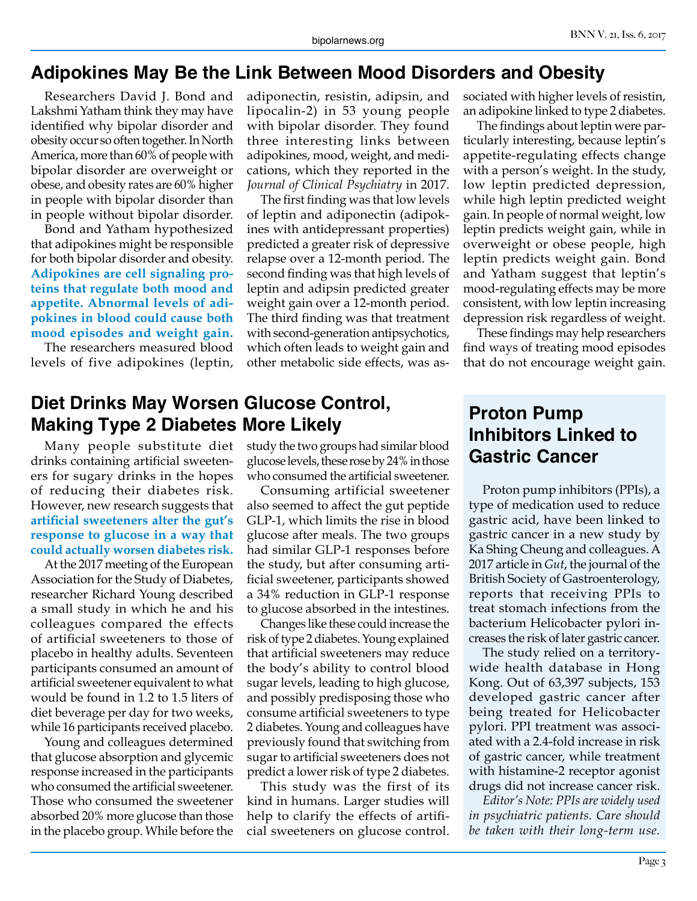#### **Adipokines May Be the Link Between Mood Disorders and Obesity**

Researchers David J. Bond and Lakshmi Yatham think they may have identified why bipolar disorder and obesity occur so often together. In North America, more than 60% of people with bipolar disorder are overweight or obese, and obesity rates are 60% higher in people with bipolar disorder than in people without bipolar disorder.

Bond and Yatham hypothesized that adipokines might be responsible for both bipolar disorder and obesity. **Adipokines are cell signaling proteins that regulate both mood and appetite. Abnormal levels of adipokines in blood could cause both mood episodes and weight gain.**

The researchers measured blood levels of five adipokines (leptin,

#### **Diet Drinks May Worsen Glucose Control, Making Type 2 Diabetes More Likely**

Many people substitute diet drinks containing artificial sweeteners for sugary drinks in the hopes of reducing their diabetes risk. However, new research suggests that **artificial sweeteners alter the gut's response to glucose in a way that could actually worsen diabetes risk.**

At the 2017 meeting of the European Association for the Study of Diabetes, researcher Richard Young described a small study in which he and his colleagues compared the effects of artificial sweeteners to those of placebo in healthy adults. Seventeen participants consumed an amount of artificial sweetener equivalent to what would be found in 1.2 to 1.5 liters of diet beverage per day for two weeks, while 16 participants received placebo.

Young and colleagues determined that glucose absorption and glycemic response increased in the participants who consumed the artificial sweetener. Those who consumed the sweetener absorbed 20% more glucose than those in the placebo group. While before the

adiponectin, resistin, adipsin, and lipocalin-2) in 53 young people with bipolar disorder. They found three interesting links between adipokines, mood, weight, and medications, which they reported in the *Journal of Clinical Psychiatry* in 2017.

The first finding was that low levels of leptin and adiponectin (adipokines with antidepressant properties) predicted a greater risk of depressive relapse over a 12-month period. The second finding was that high levels of leptin and adipsin predicted greater weight gain over a 12-month period. The third finding was that treatment with second-generation antipsychotics, which often leads to weight gain and other metabolic side effects, was as-

study the two groups had similar blood glucose levels, these rose by 24% in those who consumed the artificial sweetener.

Consuming artificial sweetener also seemed to affect the gut peptide GLP-1, which limits the rise in blood glucose after meals. The two groups had similar GLP-1 responses before the study, but after consuming artificial sweetener, participants showed a 34% reduction in GLP-1 response to glucose absorbed in the intestines.

Changes like these could increase the risk of type 2 diabetes. Young explained that artificial sweeteners may reduce the body's ability to control blood sugar levels, leading to high glucose, and possibly predisposing those who consume artificial sweeteners to type 2 diabetes. Young and colleagues have previously found that switching from sugar to artificial sweeteners does not predict a lower risk of type 2 diabetes.

This study was the first of its kind in humans. Larger studies will help to clarify the effects of artificial sweeteners on glucose control.

sociated with higher levels of resistin, an adipokine linked to type 2 diabetes.

The findings about leptin were particularly interesting, because leptin's appetite-regulating effects change with a person's weight. In the study, low leptin predicted depression, while high leptin predicted weight gain. In people of normal weight, low leptin predicts weight gain, while in overweight or obese people, high leptin predicts weight gain. Bond and Yatham suggest that leptin's mood-regulating effects may be more consistent, with low leptin increasing depression risk regardless of weight.

These findings may help researchers find ways of treating mood episodes that do not encourage weight gain.

## **Proton Pump Inhibitors Linked to Gastric Cancer**

Proton pump inhibitors (PPIs), a type of medication used to reduce gastric acid, have been linked to gastric cancer in a new study by Ka Shing Cheung and colleagues. A 2017 article in *Gut*, the journal of the British Society of Gastroenterology, reports that receiving PPIs to treat stomach infections from the bacterium Helicobacter pylori increases the risk of later gastric cancer.

The study relied on a territorywide health database in Hong Kong. Out of 63,397 subjects, 153 developed gastric cancer after being treated for Helicobacter pylori. PPI treatment was associated with a 2.4-fold increase in risk of gastric cancer, while treatment with histamine-2 receptor agonist drugs did not increase cancer risk.

*Editor's Note: PPIs are widely used in psychiatric patients. Care should be taken with their long-term use.*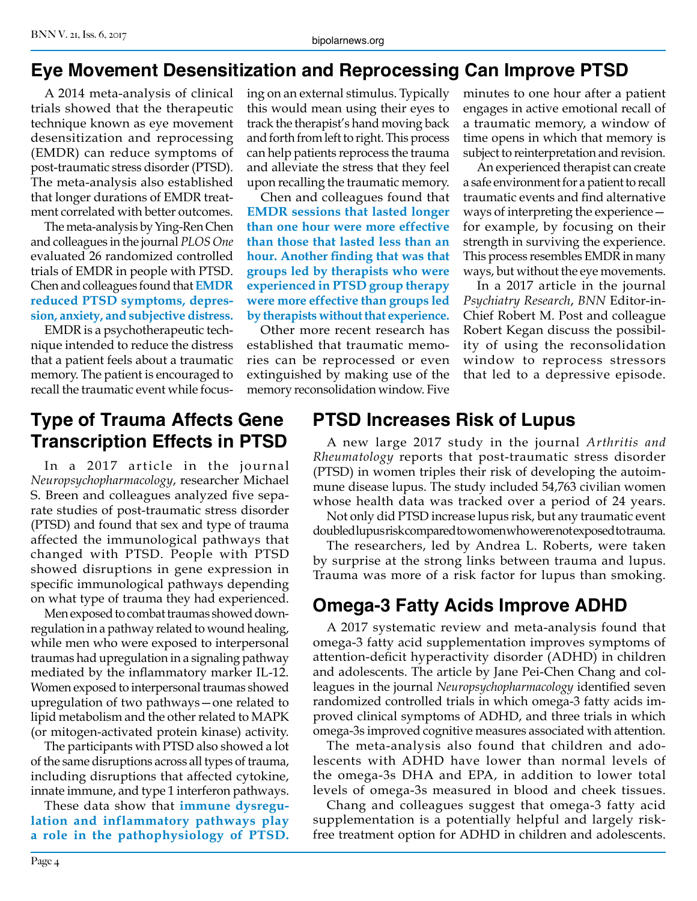#### **Eye Movement Desensitization and Reprocessing Can Improve PTSD**

A 2014 meta-analysis of clinical trials showed that the therapeutic technique known as eye movement desensitization and reprocessing (EMDR) can reduce symptoms of post-traumatic stress disorder (PTSD). The meta-analysis also established that longer durations of EMDR treatment correlated with better outcomes.

The meta-analysis by Ying-Ren Chen and colleagues in the journal *PLOS One*  evaluated 26 randomized controlled trials of EMDR in people with PTSD. Chen and colleagues found that **EMDR reduced PTSD symptoms, depression, anxiety, and subjective distress.**

EMDR is a psychotherapeutic technique intended to reduce the distress that a patient feels about a traumatic memory. The patient is encouraged to recall the traumatic event while focus-

#### **Type of Trauma Affects Gene Transcription Effects in PTSD**

In a 2017 article in the journal *Neuropsychopharmacology*, researcher Michael S. Breen and colleagues analyzed five separate studies of post-traumatic stress disorder (PTSD) and found that sex and type of trauma affected the immunological pathways that changed with PTSD. People with PTSD showed disruptions in gene expression in specific immunological pathways depending on what type of trauma they had experienced.

Men exposed to combat traumas showed downregulation in a pathway related to wound healing, while men who were exposed to interpersonal traumas had upregulation in a signaling pathway mediated by the inflammatory marker IL-12. Women exposed to interpersonal traumas showed upregulation of two pathways—one related to lipid metabolism and the other related to MAPK (or mitogen-activated protein kinase) activity.

The participants with PTSD also showed a lot of the same disruptions across all types of trauma, including disruptions that affected cytokine, innate immune, and type 1 interferon pathways.

These data show that **immune dysregulation and inflammatory pathways play a role in the pathophysiology of PTSD.**

ing on an external stimulus. Typically this would mean using their eyes to track the therapist's hand moving back and forth from left to right. This process can help patients reprocess the trauma and alleviate the stress that they feel upon recalling the traumatic memory.

Chen and colleagues found that **EMDR sessions that lasted longer than one hour were more effective than those that lasted less than an hour. Another finding that was that groups led by therapists who were experienced in PTSD group therapy were more effective than groups led by therapists without that experience.**

Other more recent research has established that traumatic memories can be reprocessed or even extinguished by making use of the memory reconsolidation window. Five

minutes to one hour after a patient engages in active emotional recall of a traumatic memory, a window of time opens in which that memory is subject to reinterpretation and revision.

An experienced therapist can create a safe environment for a patient to recall traumatic events and find alternative ways of interpreting the experience for example, by focusing on their strength in surviving the experience. This process resembles EMDR in many ways, but without the eye movements.

In a 2017 article in the journal *Psychiatry Research*, *BNN* Editor-in-Chief Robert M. Post and colleague Robert Kegan discuss the possibility of using the reconsolidation window to reprocess stressors that led to a depressive episode.

## **PTSD Increases Risk of Lupus**

A new large 2017 study in the journal *Arthritis and Rheumatology* reports that post-traumatic stress disorder (PTSD) in women triples their risk of developing the autoimmune disease lupus. The study included 54,763 civilian women whose health data was tracked over a period of 24 years.

Not only did PTSD increase lupus risk, but any traumatic event doubled lupus risk compared to women who were not exposed to trauma.

The researchers, led by Andrea L. Roberts, were taken by surprise at the strong links between trauma and lupus. Trauma was more of a risk factor for lupus than smoking.

#### **Omega-3 Fatty Acids Improve ADHD**

A 2017 systematic review and meta-analysis found that omega-3 fatty acid supplementation improves symptoms of attention-deficit hyperactivity disorder (ADHD) in children and adolescents. The article by Jane Pei-Chen Chang and colleagues in the journal *Neuropsychopharmacology* identified seven randomized controlled trials in which omega-3 fatty acids improved clinical symptoms of ADHD, and three trials in which omega-3s improved cognitive measures associated with attention.

The meta-analysis also found that children and adolescents with ADHD have lower than normal levels of the omega-3s DHA and EPA, in addition to lower total levels of omega-3s measured in blood and cheek tissues.

Chang and colleagues suggest that omega-3 fatty acid supplementation is a potentially helpful and largely riskfree treatment option for ADHD in children and adolescents.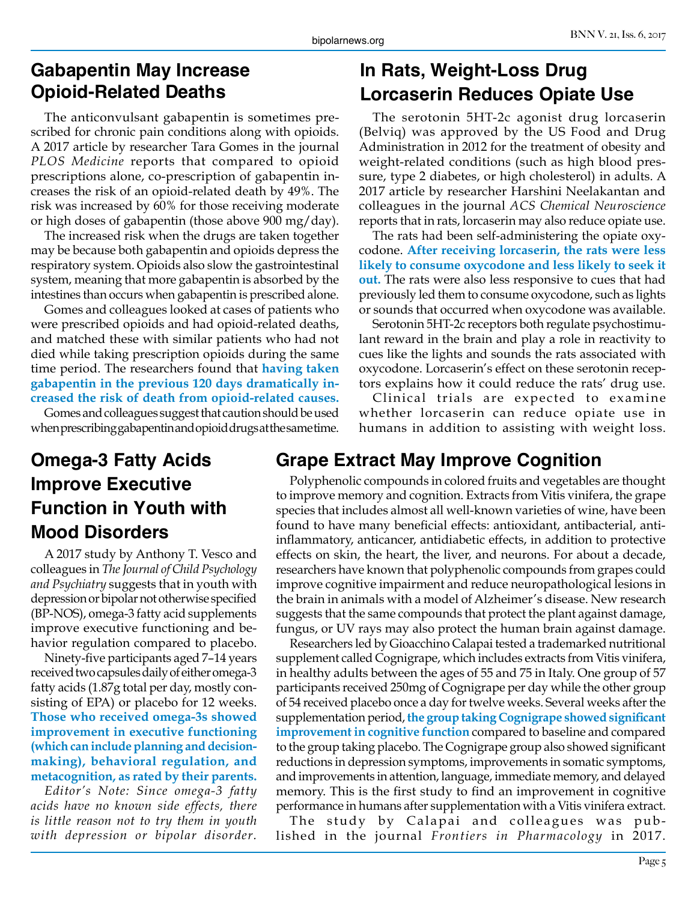#### **Gabapentin May Increase Opioid-Related Deaths**

The anticonvulsant gabapentin is sometimes prescribed for chronic pain conditions along with opioids. A 2017 article by researcher Tara Gomes in the journal *PLOS Medicine* reports that compared to opioid prescriptions alone, co-prescription of gabapentin increases the risk of an opioid-related death by 49%. The risk was increased by 60% for those receiving moderate or high doses of gabapentin (those above 900 mg/day).

The increased risk when the drugs are taken together may be because both gabapentin and opioids depress the respiratory system. Opioids also slow the gastrointestinal system, meaning that more gabapentin is absorbed by the intestines than occurs when gabapentin is prescribed alone.

Gomes and colleagues looked at cases of patients who were prescribed opioids and had opioid-related deaths, and matched these with similar patients who had not died while taking prescription opioids during the same time period. The researchers found that **having taken gabapentin in the previous 120 days dramatically increased the risk of death from opioid-related causes.**

Gomes and colleagues suggest that caution should be used when prescribing gabapentin and opioid drugs at the same time.

# **Omega-3 Fatty Acids Improve Executive Function in Youth with Mood Disorders**

A 2017 study by Anthony T. Vesco and colleagues in *The Journal of Child Psychology and Psychiatry* suggests that in youth with depression or bipolar not otherwise specified (BP-NOS), omega-3 fatty acid supplements improve executive functioning and behavior regulation compared to placebo.

Ninety-five participants aged 7–14 years received two capsules daily of either omega-3 fatty acids (1.87g total per day, mostly consisting of EPA) or placebo for 12 weeks. **Those who received omega-3s showed improvement in executive functioning (which can include planning and decisionmaking), behavioral regulation, and metacognition, as rated by their parents.**

*Editor's Note: Since omega-3 fatty acids have no known side effects, there is little reason not to try them in youth with depression or bipolar disorder.*

## **In Rats, Weight-Loss Drug Lorcaserin Reduces Opiate Use**

The serotonin 5HT-2c agonist drug lorcaserin (Belviq) was approved by the US Food and Drug Administration in 2012 for the treatment of obesity and weight-related conditions (such as high blood pressure, type 2 diabetes, or high cholesterol) in adults. A 2017 article by researcher Harshini Neelakantan and colleagues in the journal *ACS Chemical Neuroscience* reports that in rats, lorcaserin may also reduce opiate use.

The rats had been self-administering the opiate oxycodone. **After receiving lorcaserin, the rats were less likely to consume oxycodone and less likely to seek it out.** The rats were also less responsive to cues that had previously led them to consume oxycodone, such as lights or sounds that occurred when oxycodone was available.

Serotonin 5HT-2c receptors both regulate psychostimulant reward in the brain and play a role in reactivity to cues like the lights and sounds the rats associated with oxycodone. Lorcaserin's effect on these serotonin receptors explains how it could reduce the rats' drug use.

Clinical trials are expected to examine whether lorcaserin can reduce opiate use in humans in addition to assisting with weight loss.

#### **Grape Extract May Improve Cognition**

Polyphenolic compounds in colored fruits and vegetables are thought to improve memory and cognition. Extracts from Vitis vinifera, the grape species that includes almost all well-known varieties of wine, have been found to have many beneficial effects: antioxidant, antibacterial, antiinflammatory, anticancer, antidiabetic effects, in addition to protective effects on skin, the heart, the liver, and neurons. For about a decade, researchers have known that polyphenolic compounds from grapes could improve cognitive impairment and reduce neuropathological lesions in the brain in animals with a model of Alzheimer's disease. New research suggests that the same compounds that protect the plant against damage, fungus, or UV rays may also protect the human brain against damage.

Researchers led by Gioacchino Calapai tested a trademarked nutritional supplement called Cognigrape, which includes extracts from Vitis vinifera, in healthy adults between the ages of 55 and 75 in Italy. One group of 57 participants received 250mg of Cognigrape per day while the other group of 54 received placebo once a day for twelve weeks. Several weeks after the supplementation period, **the group taking Cognigrape showed significant improvement in cognitive function** compared to baseline and compared to the group taking placebo. The Cognigrape group also showed significant reductions in depression symptoms, improvements in somatic symptoms, and improvements in attention, language, immediate memory, and delayed memory. This is the first study to find an improvement in cognitive performance in humans after supplementation with a Vitis vinifera extract.

The study by Calapai and colleagues was published in the journal *Frontiers in Pharmacology* in 2017.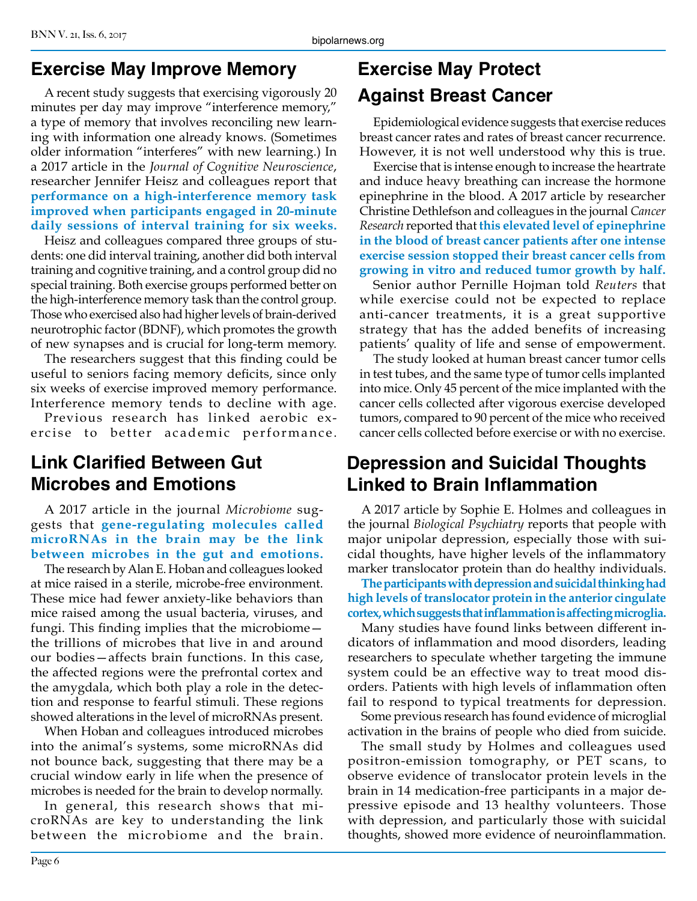#### **Exercise May Improve Memory**

A recent study suggests that exercising vigorously 20 minutes per day may improve "interference memory," a type of memory that involves reconciling new learning with information one already knows. (Sometimes older information "interferes" with new learning.) In a 2017 article in the *Journal of Cognitive Neuroscience*, researcher Jennifer Heisz and colleagues report that **performance on a high-interference memory task improved when participants engaged in 20-minute daily sessions of interval training for six weeks.**

Heisz and colleagues compared three groups of students: one did interval training, another did both interval training and cognitive training, and a control group did no special training. Both exercise groups performed better on the high-interference memory task than the control group. Those who exercised also had higher levels of brain-derived neurotrophic factor (BDNF), which promotes the growth of new synapses and is crucial for long-term memory.

The researchers suggest that this finding could be useful to seniors facing memory deficits, since only six weeks of exercise improved memory performance. Interference memory tends to decline with age.

Previous research has linked aerobic exercise to better academic performance.

# **Link Clarified Between Gut Microbes and Emotions**

A 2017 article in the journal *Microbiome* suggests that **gene-regulating molecules called microRNAs in the brain may be the link between microbes in the gut and emotions.**

The research by Alan E. Hoban and colleagues looked at mice raised in a sterile, microbe-free environment. These mice had fewer anxiety-like behaviors than mice raised among the usual bacteria, viruses, and fungi. This finding implies that the microbiome the trillions of microbes that live in and around our bodies—affects brain functions. In this case, the affected regions were the prefrontal cortex and the amygdala, which both play a role in the detection and response to fearful stimuli. These regions showed alterations in the level of microRNAs present.

When Hoban and colleagues introduced microbes into the animal's systems, some microRNAs did not bounce back, suggesting that there may be a crucial window early in life when the presence of microbes is needed for the brain to develop normally.

In general, this research shows that microRNAs are key to understanding the link between the microbiome and the brain.

# **Exercise May Protect Against Breast Cancer**

Epidemiological evidence suggests that exercise reduces breast cancer rates and rates of breast cancer recurrence. However, it is not well understood why this is true.

Exercise that is intense enough to increase the heartrate and induce heavy breathing can increase the hormone epinephrine in the blood. A 2017 article by researcher Christine Dethlefson and colleagues in the journal *Cancer Research* reported that **this elevated level of epinephrine in the blood of breast cancer patients after one intense exercise session stopped their breast cancer cells from growing in vitro and reduced tumor growth by half.** 

Senior author Pernille Hojman told *Reuters* that while exercise could not be expected to replace anti-cancer treatments, it is a great supportive strategy that has the added benefits of increasing patients' quality of life and sense of empowerment.

The study looked at human breast cancer tumor cells in test tubes, and the same type of tumor cells implanted into mice. Only 45 percent of the mice implanted with the cancer cells collected after vigorous exercise developed tumors, compared to 90 percent of the mice who received cancer cells collected before exercise or with no exercise.

## **Depression and Suicidal Thoughts Linked to Brain Inflammation**

A 2017 article by Sophie E. Holmes and colleagues in the journal *Biological Psychiatry* reports that people with major unipolar depression, especially those with suicidal thoughts, have higher levels of the inflammatory marker translocator protein than do healthy individuals.

**The participants with depression and suicidal thinking had high levels of translocator protein in the anterior cingulate cortex, which suggests that inflammation is affecting microglia.**

Many studies have found links between different indicators of inflammation and mood disorders, leading researchers to speculate whether targeting the immune system could be an effective way to treat mood disorders. Patients with high levels of inflammation often fail to respond to typical treatments for depression.

Some previous research has found evidence of microglial activation in the brains of people who died from suicide.

The small study by Holmes and colleagues used positron-emission tomography, or PET scans, to observe evidence of translocator protein levels in the brain in 14 medication-free participants in a major depressive episode and 13 healthy volunteers. Those with depression, and particularly those with suicidal thoughts, showed more evidence of neuroinflammation.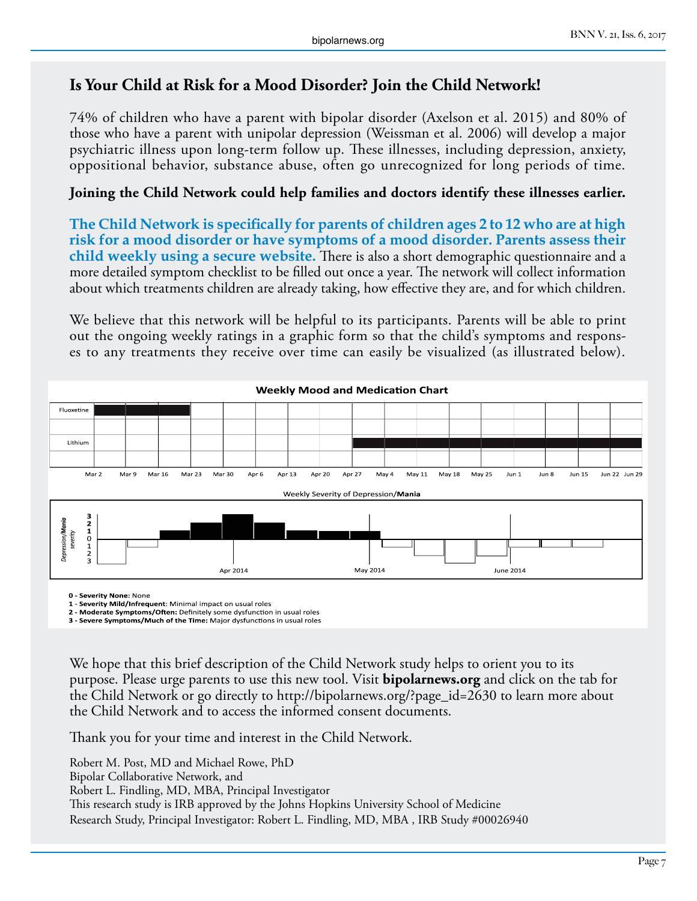#### **Is Your Child at Risk for a Mood Disorder? Join the Child Network!**

74% of children who have a parent with bipolar disorder (Axelson et al. 2015) and 80% of those who have a parent with unipolar depression (Weissman et al. 2006) will develop a major psychiatric illness upon long-term follow up. These illnesses, including depression, anxiety, oppositional behavior, substance abuse, often go unrecognized for long periods of time.

#### **Joining the Child Network could help families and doctors identify these illnesses earlier.**

**The Child Network is specifically for parents of children ages 2 to 12 who are at high risk for a mood disorder or have symptoms of a mood disorder. Parents assess their child weekly using a secure website.** There is also a short demographic questionnaire and a more detailed symptom checklist to be filled out once a year. The network will collect information about which treatments children are already taking, how effective they are, and for which children.

We believe that this network will be helpful to its participants. Parents will be able to print out the ongoing weekly ratings in a graphic form so that the child's symptoms and responses to any treatments they receive over time can easily be visualized (as illustrated below).



**0 - Severity None:** None

**1 - Severity Mild/Infrequent**: Minimal impact on usual roles

**2 - Moderate Symptoms/Often:** Definitely some dysfunction in usual roles **3 - Severe Symptoms/Much of the Time:** Major dysfunctions in usual roles

We hope that this brief description of the Child Network study helps to orient you to its purpose. Please urge parents to use this new tool. Visit **bipolarnews.org** and click on the tab for the Child Network or go directly to http://bipolarnews.org/?page\_id=2630 to learn more about the Child Network and to access the informed consent documents.

Thank you for your time and interest in the Child Network.

Robert M. Post, MD and Michael Rowe, PhD Bipolar Collaborative Network, and Robert L. Findling, MD, MBA, Principal Investigator This research study is IRB approved by the Johns Hopkins University School of Medicine Research Study, Principal Investigator: Robert L. Findling, MD, MBA , IRB Study #00026940